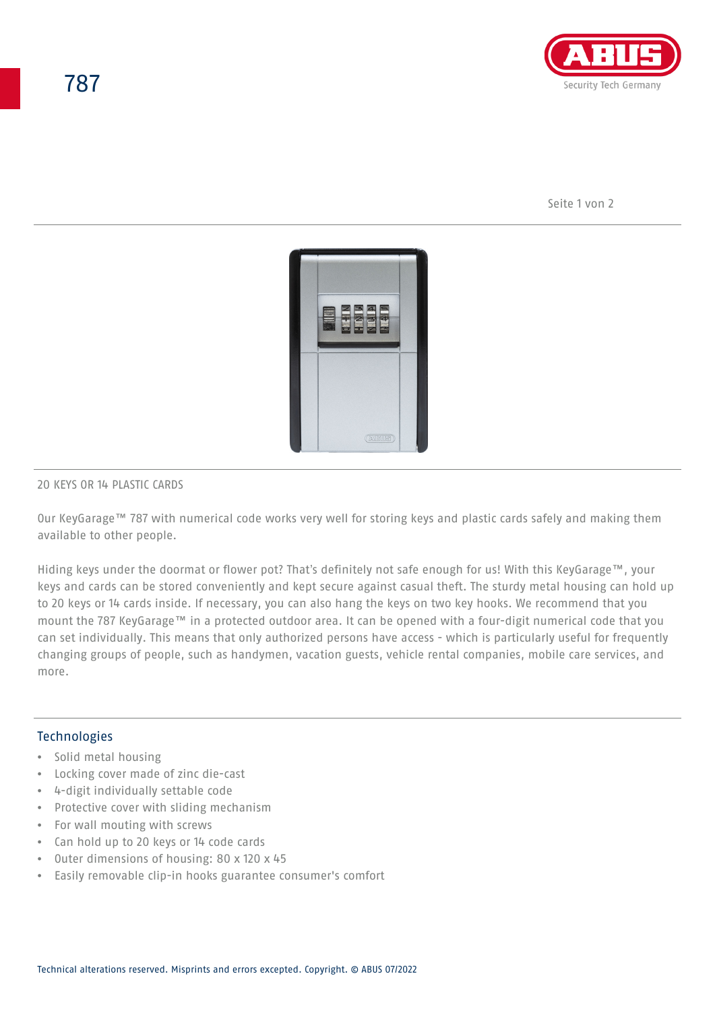

Seite 1 von 2



#### 20 KEYS OR 14 PLASTIC CARDS

Our KeyGarage™ 787 with numerical code works very well for storing keys and plastic cards safely and making them available to other people.

Hiding keys under the doormat or flower pot? That's definitely not safe enough for us! With this KeyGarage™, your keys and cards can be stored conveniently and kept secure against casual theft. The sturdy metal housing can hold up to 20 keys or 14 cards inside. If necessary, you can also hang the keys on two key hooks. We recommend that you mount the 787 KeyGarage™ in a protected outdoor area. It can be opened with a four-digit numerical code that you can set individually. This means that only authorized persons have access - which is particularly useful for frequently changing groups of people, such as handymen, vacation guests, vehicle rental companies, mobile care services, and more.

#### **Technologies**

- Solid metal housing
- Locking cover made of zinc die-cast
- 4-digit individually settable code
- Protective cover with sliding mechanism
- For wall mouting with screws
- Can hold up to 20 keys or 14 code cards
- Outer dimensions of housing: 80 x 120 x 45
- Easily removable clip-in hooks guarantee consumer's comfort